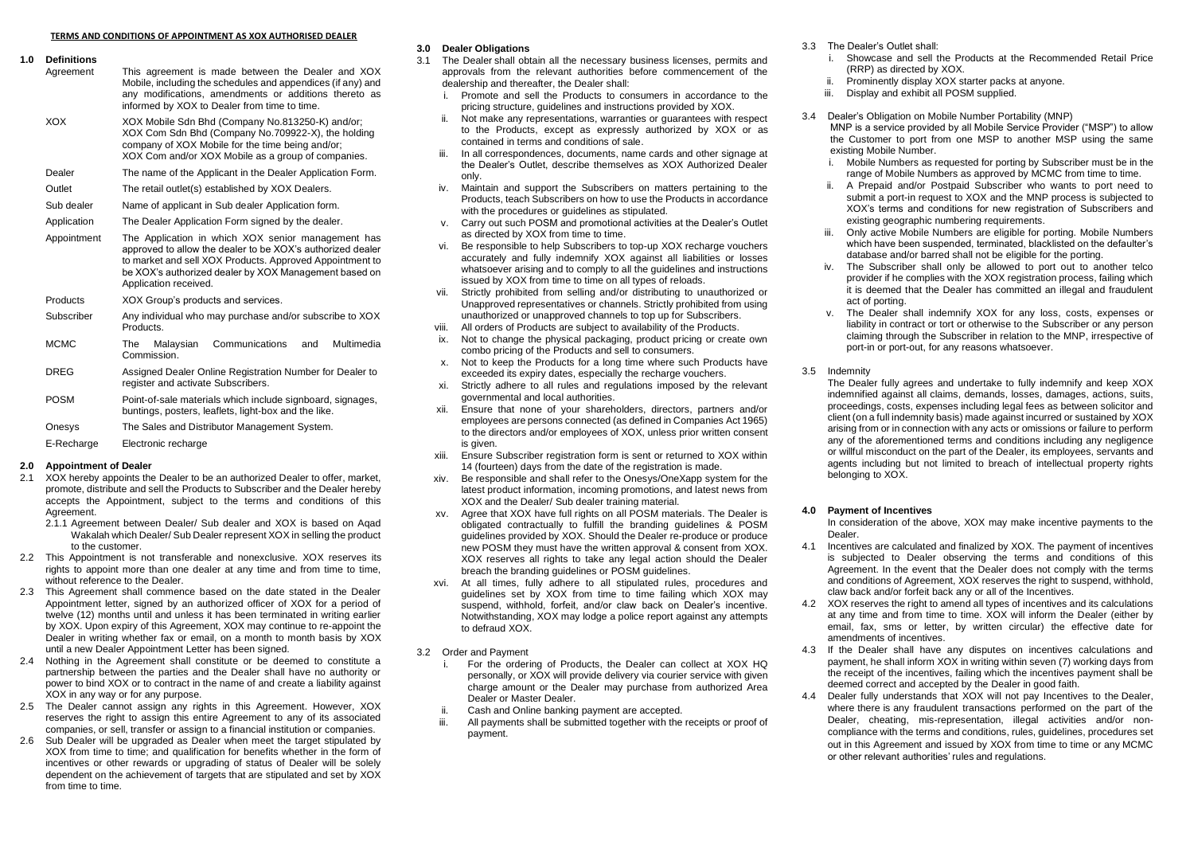**1.0 Definitions** This agreement is made between the Dealer and XOX Mobile, including the schedules and appendices (if any) and any modifications, amendments or additions thereto as informed by XOX to Dealer from time to time. XOX XOX Mobile Sdn Bhd (Company No.813250-K) and/or; XOX Com Sdn Bhd (Company No.709922-X), the holding company of XOX Mobile for the time being and/or; XOX Com and/or XOX Mobile as a group of companies. Dealer The name of the Applicant in the Dealer Application Form. Outlet The retail outlet(s) established by XOX Dealers. Sub dealer Name of applicant in Sub dealer Application form. Application The Dealer Application Form signed by the dealer. Appointment The Application in which XOX senior management has approved to allow the dealer to be XOX's authorized dealer to market and sell XOX Products. Approved Appointment to be XOX's authorized dealer by XOX Management based on Application received. Products XOX Group's products and services. Subscriber Any individual who may purchase and/or subscribe to XOX Products. MCMC The Malaysian Communications and Multimedia Commission. DREG Assigned Dealer Online Registration Number for Dealer to register and activate Subscribers. POSM Point-of-sale materials which include signboard, signages, buntings, posters, leaflets, light-box and the like. Onesys The Sales and Distributor Management System. E-Recharge Electronic recharge

### **2.0 Appointment of Dealer**

- 2.1 XOX hereby appoints the Dealer to be an authorized Dealer to offer, market, promote, distribute and sell the Products to Subscriber and the Dealer hereby accepts the Appointment, subject to the terms and conditions of this **Agreement** 
	- 2.1.1 Agreement between Dealer/ Sub dealer and XOX is based on Agad Wakalah which Dealer/ Sub Dealer represent XOX in selling the product to the customer.
- 2.2 This Appointment is not transferable and nonexclusive. XOX reserves its rights to appoint more than one dealer at any time and from time to time, without reference to the Dealer.
- 2.3 This Agreement shall commence based on the date stated in the Dealer Appointment letter, signed by an authorized officer of XOX for a period of twelve (12) months until and unless it has been terminated in writing earlier by XOX. Upon expiry of this Agreement, XOX may continue to re-appoint the Dealer in writing whether fax or email, on a month to month basis by XOX until a new Dealer Appointment Letter has been signed.
- 2.4 Nothing in the Agreement shall constitute or be deemed to constitute a partnership between the parties and the Dealer shall have no authority or power to bind XOX or to contract in the name of and create a liability against XOX in any way or for any purpose.
- 2.5 The Dealer cannot assign any rights in this Agreement. However, XOX reserves the right to assign this entire Agreement to any of its associated companies, or sell, transfer or assign to a financial institution or companies.
- 2.6 Sub Dealer will be upgraded as Dealer when meet the target stipulated by XOX from time to time; and qualification for benefits whether in the form of incentives or other rewards or upgrading of status of Dealer will be solely dependent on the achievement of targets that are stipulated and set by XOX from time to time.

# **3.0 Dealer Obligations**

- The Dealer shall obtain all the necessary business licenses, permits and approvals from the relevant authorities before commencement of the dealership and thereafter, the Dealer shall:
	- i. Promote and sell the Products to consumers in accordance to the pricing structure, guidelines and instructions provided by XOX.
	- ii. Not make any representations, warranties or guarantees with respect to the Products, except as expressly authorized by XOX or as contained in terms and conditions of sale.
	- iii. In all correspondences, documents, name cards and other signage at the Dealer's Outlet, describe themselves as XOX Authorized Dealer only.
	- iv. Maintain and support the Subscribers on matters pertaining to the Products, teach Subscribers on how to use the Products in accordance with the procedures or guidelines as stipulated.
	- v. Carry out such POSM and promotional activities at the Dealer's Outlet as directed by XOX from time to time.
	- vi. Be responsible to help Subscribers to top-up XOX recharge vouchers accurately and fully indemnify XOX against all liabilities or losses whatsoever arising and to comply to all the guidelines and instructions issued by XOX from time to time on all types of reloads.
	- vii. Strictly prohibited from selling and/or distributing to unauthorized or Unapproved representatives or channels. Strictly prohibited from using unauthorized or unapproved channels to top up for Subscribers.
	- viii. All orders of Products are subject to availability of the Products.
	- ix. Not to change the physical packaging, product pricing or create own combo pricing of the Products and sell to consumers.
	- x. Not to keep the Products for a long time where such Products have exceeded its expiry dates, especially the recharge vouchers.
	- xi. Strictly adhere to all rules and regulations imposed by the relevant governmental and local authorities.
	- xii. Ensure that none of your shareholders, directors, partners and/or employees are persons connected (as defined in Companies Act 1965) to the directors and/or employees of XOX, unless prior written consent is given.
	- xiii. Ensure Subscriber registration form is sent or returned to XOX within 14 (fourteen) days from the date of the registration is made.
	- xiv. Be responsible and shall refer to the Onesys/OneXapp system for the latest product information, incoming promotions, and latest news from XOX and the Dealer/ Sub dealer training material.
	- xv. Agree that XOX have full rights on all POSM materials. The Dealer is obligated contractually to fulfill the branding guidelines & POSM guidelines provided by XOX. Should the Dealer re-produce or produce new POSM they must have the written approval & consent from XOX. XOX reserves all rights to take any legal action should the Dealer breach the branding guidelines or POSM guidelines.
- At all times, fully adhere to all stipulated rules, procedures and guidelines set by XOX from time to time failing which XOX may suspend, withhold, forfeit, and/or claw back on Dealer's incentive. Notwithstanding, XOX may lodge a police report against any attempts to defraud XOX.
- 3.2 Order and Payment
	- i. For the ordering of Products, the Dealer can collect at XOX HQ personally, or XOX will provide delivery via courier service with given charge amount or the Dealer may purchase from authorized Area Dealer or Master Dealer.
	- ii. Cash and Online banking payment are accepted.
	- iii. All payments shall be submitted together with the receipts or proof of payment.
- 3.3 The Dealer's Outlet shall:
	- i. Showcase and sell the Products at the Recommended Retail Price (RRP) as directed by XOX.
	- Prominently display XOX starter packs at anyone.
	- iii. Display and exhibit all POSM supplied.
- 3.4 Dealer's Obligation on Mobile Number Portability (MNP) MNP is a service provided by all Mobile Service Provider ("MSP") to allow the Customer to port from one MSP to another MSP using the same existing Mobile Number.
	- i. Mobile Numbers as requested for porting by Subscriber must be in the range of Mobile Numbers as approved by MCMC from time to time.
	- ii. A Prepaid and/or Postpaid Subscriber who wants to port need to submit a port-in request to XOX and the MNP process is subjected to XOX's terms and conditions for new registration of Subscribers and existing geographic numbering requirements.
	- iii. Only active Mobile Numbers are eligible for porting. Mobile Numbers which have been suspended, terminated, blacklisted on the defaulter's database and/or barred shall not be eligible for the porting.
	- iv. The Subscriber shall only be allowed to port out to another telco provider if he complies with the XOX registration process, failing which it is deemed that the Dealer has committed an illegal and fraudulent act of porting.
	- v. The Dealer shall indemnify XOX for any loss, costs, expenses or liability in contract or tort or otherwise to the Subscriber or any person claiming through the Subscriber in relation to the MNP, irrespective of port-in or port-out, for any reasons whatsoever.
- 3.5 Indemnity

The Dealer fully agrees and undertake to fully indemnify and keep XOX indemnified against all claims, demands, losses, damages, actions, suits, proceedings, costs, expenses including legal fees as between solicitor and client (on a full indemnity basis) made against incurred or sustained by XOX arising from or in connection with any acts or omissions or failure to perform any of the aforementioned terms and conditions including any negligence or willful misconduct on the part of the Dealer, its employees, servants and agents including but not limited to breach of intellectual property rights belonging to XOX.

#### **4.0 Payment of Incentives**

In consideration of the above, XOX may make incentive payments to the Dealer.

- 4.1 Incentives are calculated and finalized by XOX. The payment of incentives is subjected to Dealer observing the terms and conditions of this Agreement. In the event that the Dealer does not comply with the terms and conditions of Agreement, XOX reserves the right to suspend, withhold, claw back and/or forfeit back any or all of the Incentives.
- 4.2 XOX reserves the right to amend all types of incentives and its calculations at any time and from time to time. XOX will inform the Dealer (either by email, fax, sms or letter, by written circular) the effective date for amendments of incentives.
- 4.3 If the Dealer shall have any disputes on incentives calculations and payment, he shall inform XOX in writing within seven (7) working days from the receipt of the incentives, failing which the incentives payment shall be deemed correct and accepted by the Dealer in good faith.
- 4.4 Dealer fully understands that XOX will not pay Incentives to the Dealer, where there is any fraudulent transactions performed on the part of the Dealer, cheating, mis-representation, illegal activities and/or noncompliance with the terms and conditions, rules, guidelines, procedures set out in this Agreement and issued by XOX from time to time or any MCMC or other relevant authorities' rules and regulations.